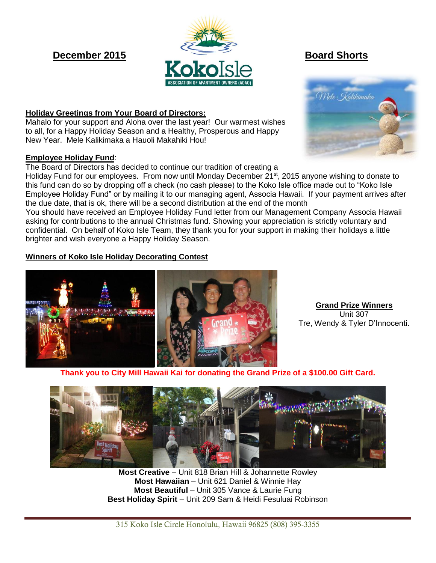

#### **Holiday Greetings from Your Board of Directors:**

Mahalo for your support and Aloha over the last year! Our warmest wishes to all, for a Happy Holiday Season and a Healthy, Prosperous and Happy New Year. Mele Kalikimaka a Hauoli Makahiki Hou!

#### **Employee Holiday Fund**:

The Board of Directors has decided to continue our tradition of creating a

Holiday Fund for our employees. From now until Monday December 21<sup>st</sup>, 2015 anyone wishing to donate to this fund can do so by dropping off a check (no cash please) to the Koko Isle office made out to "Koko Isle Employee Holiday Fund" or by mailing it to our managing agent, Associa Hawaii. If your payment arrives after the due date, that is ok, there will be a second distribution at the end of the month

You should have received an Employee Holiday Fund letter from our Management Company Associa Hawaii asking for contributions to the annual Christmas fund. Showing your appreciation is strictly voluntary and confidential. On behalf of Koko Isle Team, they thank you for your support in making their holidays a little brighter and wish everyone a Happy Holiday Season.

## **Winners of Koko Isle Holiday Decorating Contest**



**Grand Prize Winners** Unit 307 Tre, Wendy & Tyler D'Innocenti.

**Thank you to City Mill Hawaii Kai for donating the Grand Prize of a \$100.00 Gift Card.**



**Most Creative** – Unit 818 Brian Hill & Johannette Rowley **Most Hawaiian** – Unit 621 Daniel & Winnie Hay **Most Beautiful** – Unit 305 Vance & Laurie Fung **Best Holiday Spirit** – Unit 209 Sam & Heidi Fesuluai Robinson